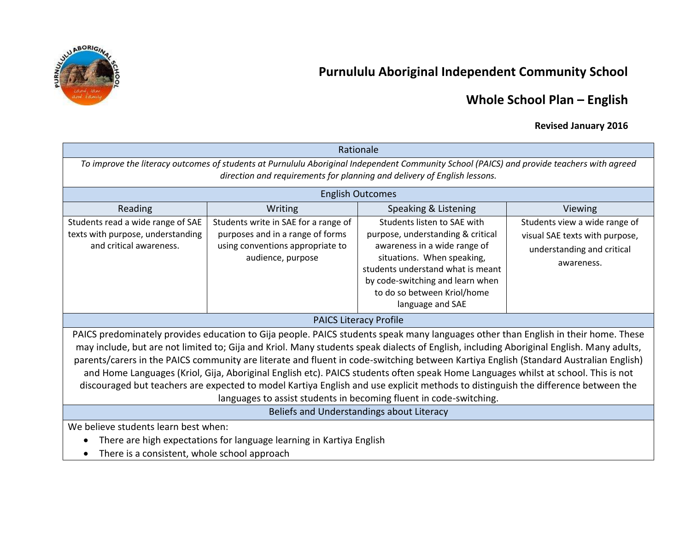



# **Whole School Plan – English**

## **Revised January 2016**

| Rationale                                                                                                                                                                                                                                                                                                                                                                                                                                                                                                                                                                                                                                                                                                                                                               |                                                                                                                                   |                                                                                                                                                                                                                                                            |                                                                                                             |  |  |
|-------------------------------------------------------------------------------------------------------------------------------------------------------------------------------------------------------------------------------------------------------------------------------------------------------------------------------------------------------------------------------------------------------------------------------------------------------------------------------------------------------------------------------------------------------------------------------------------------------------------------------------------------------------------------------------------------------------------------------------------------------------------------|-----------------------------------------------------------------------------------------------------------------------------------|------------------------------------------------------------------------------------------------------------------------------------------------------------------------------------------------------------------------------------------------------------|-------------------------------------------------------------------------------------------------------------|--|--|
| To improve the literacy outcomes of students at Purnululu Aboriginal Independent Community School (PAICS) and provide teachers with agreed<br>direction and requirements for planning and delivery of English lessons.                                                                                                                                                                                                                                                                                                                                                                                                                                                                                                                                                  |                                                                                                                                   |                                                                                                                                                                                                                                                            |                                                                                                             |  |  |
| <b>English Outcomes</b>                                                                                                                                                                                                                                                                                                                                                                                                                                                                                                                                                                                                                                                                                                                                                 |                                                                                                                                   |                                                                                                                                                                                                                                                            |                                                                                                             |  |  |
| Reading                                                                                                                                                                                                                                                                                                                                                                                                                                                                                                                                                                                                                                                                                                                                                                 | Writing                                                                                                                           | Speaking & Listening                                                                                                                                                                                                                                       | Viewing                                                                                                     |  |  |
| Students read a wide range of SAE<br>texts with purpose, understanding<br>and critical awareness.                                                                                                                                                                                                                                                                                                                                                                                                                                                                                                                                                                                                                                                                       | Students write in SAE for a range of<br>purposes and in a range of forms<br>using conventions appropriate to<br>audience, purpose | Students listen to SAE with<br>purpose, understanding & critical<br>awareness in a wide range of<br>situations. When speaking,<br>students understand what is meant<br>by code-switching and learn when<br>to do so between Kriol/home<br>language and SAE | Students view a wide range of<br>visual SAE texts with purpose,<br>understanding and critical<br>awareness. |  |  |
| <b>PAICS Literacy Profile</b>                                                                                                                                                                                                                                                                                                                                                                                                                                                                                                                                                                                                                                                                                                                                           |                                                                                                                                   |                                                                                                                                                                                                                                                            |                                                                                                             |  |  |
| PAICS predominately provides education to Gija people. PAICS students speak many languages other than English in their home. These<br>may include, but are not limited to; Gija and Kriol. Many students speak dialects of English, including Aboriginal English. Many adults,<br>parents/carers in the PAICS community are literate and fluent in code-switching between Kartiya English (Standard Australian English)<br>and Home Languages (Kriol, Gija, Aboriginal English etc). PAICS students often speak Home Languages whilst at school. This is not<br>discouraged but teachers are expected to model Kartiya English and use explicit methods to distinguish the difference between the<br>languages to assist students in becoming fluent in code-switching. |                                                                                                                                   |                                                                                                                                                                                                                                                            |                                                                                                             |  |  |
| Beliefs and Understandings about Literacy                                                                                                                                                                                                                                                                                                                                                                                                                                                                                                                                                                                                                                                                                                                               |                                                                                                                                   |                                                                                                                                                                                                                                                            |                                                                                                             |  |  |
| We believe students learn best when:<br>There are high expectations for language learning in Kartiya English<br>There is a consistent, whole school approach                                                                                                                                                                                                                                                                                                                                                                                                                                                                                                                                                                                                            |                                                                                                                                   |                                                                                                                                                                                                                                                            |                                                                                                             |  |  |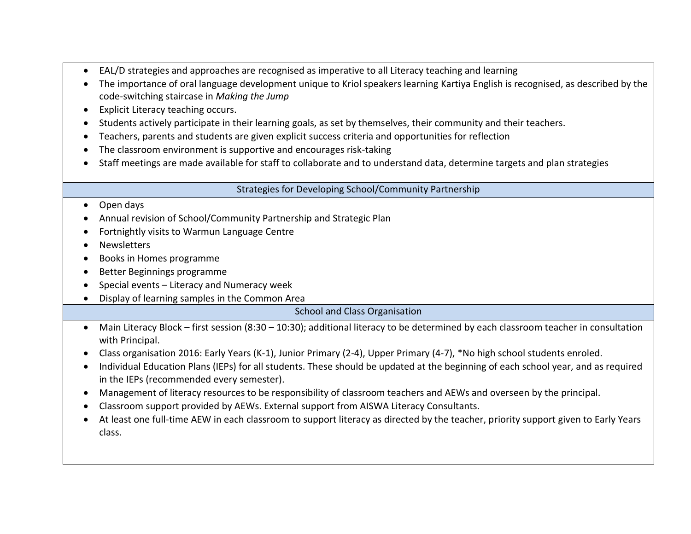- EAL/D strategies and approaches are recognised as imperative to all Literacy teaching and learning
- The importance of oral language development unique to Kriol speakers learning Kartiya English is recognised, as described by the code-switching staircase in *Making the Jump*
- Explicit Literacy teaching occurs.
- Students actively participate in their learning goals, as set by themselves, their community and their teachers.
- Teachers, parents and students are given explicit success criteria and opportunities for reflection
- The classroom environment is supportive and encourages risk-taking
- Staff meetings are made available for staff to collaborate and to understand data, determine targets and plan strategies

Strategies for Developing School/Community Partnership

#### • Open days

- Annual revision of School/Community Partnership and Strategic Plan
- Fortnightly visits to Warmun Language Centre
- Newsletters
- Books in Homes programme
- Better Beginnings programme
- $\bullet$  Special events Literacy and Numeracy week
- Display of learning samples in the Common Area

School and Class Organisation

- Main Literacy Block first session (8:30 10:30); additional literacy to be determined by each classroom teacher in consultation with Principal.
- Class organisation 2016: Early Years (K-1), Junior Primary (2-4), Upper Primary (4-7), \*No high school students enroled.
- Individual Education Plans (IEPs) for all students. These should be updated at the beginning of each school year, and as required in the IEPs (recommended every semester).
- Management of literacy resources to be responsibility of classroom teachers and AEWs and overseen by the principal.
- Classroom support provided by AEWs. External support from AISWA Literacy Consultants.
- At least one full-time AEW in each classroom to support literacy as directed by the teacher, priority support given to Early Years class.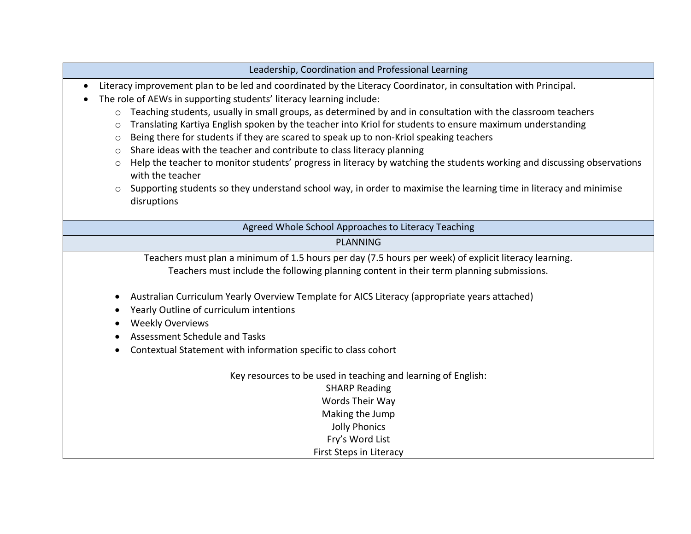|                                                                             | Leadership, Coordination and Professional Learning                                                                                                                                                                                                                                                                                                                                                                                                                                                                                                                                                                                                                                                                                                                                                                                                                           |  |  |
|-----------------------------------------------------------------------------|------------------------------------------------------------------------------------------------------------------------------------------------------------------------------------------------------------------------------------------------------------------------------------------------------------------------------------------------------------------------------------------------------------------------------------------------------------------------------------------------------------------------------------------------------------------------------------------------------------------------------------------------------------------------------------------------------------------------------------------------------------------------------------------------------------------------------------------------------------------------------|--|--|
| $\bullet$<br>$\circ$<br>$\circ$<br>$\circ$<br>$\circ$<br>$\circ$<br>$\circ$ | Literacy improvement plan to be led and coordinated by the Literacy Coordinator, in consultation with Principal.<br>The role of AEWs in supporting students' literacy learning include:<br>Teaching students, usually in small groups, as determined by and in consultation with the classroom teachers<br>Translating Kartiya English spoken by the teacher into Kriol for students to ensure maximum understanding<br>Being there for students if they are scared to speak up to non-Kriol speaking teachers<br>Share ideas with the teacher and contribute to class literacy planning<br>Help the teacher to monitor students' progress in literacy by watching the students working and discussing observations<br>with the teacher<br>Supporting students so they understand school way, in order to maximise the learning time in literacy and minimise<br>disruptions |  |  |
|                                                                             | Agreed Whole School Approaches to Literacy Teaching                                                                                                                                                                                                                                                                                                                                                                                                                                                                                                                                                                                                                                                                                                                                                                                                                          |  |  |
|                                                                             | <b>PLANNING</b>                                                                                                                                                                                                                                                                                                                                                                                                                                                                                                                                                                                                                                                                                                                                                                                                                                                              |  |  |
|                                                                             | Teachers must plan a minimum of 1.5 hours per day (7.5 hours per week) of explicit literacy learning.<br>Teachers must include the following planning content in their term planning submissions.                                                                                                                                                                                                                                                                                                                                                                                                                                                                                                                                                                                                                                                                            |  |  |
| $\bullet$<br>$\bullet$                                                      | Australian Curriculum Yearly Overview Template for AICS Literacy (appropriate years attached)<br>Yearly Outline of curriculum intentions<br><b>Weekly Overviews</b><br><b>Assessment Schedule and Tasks</b><br>Contextual Statement with information specific to class cohort                                                                                                                                                                                                                                                                                                                                                                                                                                                                                                                                                                                                |  |  |
|                                                                             | Key resources to be used in teaching and learning of English:<br><b>SHARP Reading</b><br>Words Their Way<br>Making the Jump<br><b>Jolly Phonics</b><br>Fry's Word List<br>First Steps in Literacy                                                                                                                                                                                                                                                                                                                                                                                                                                                                                                                                                                                                                                                                            |  |  |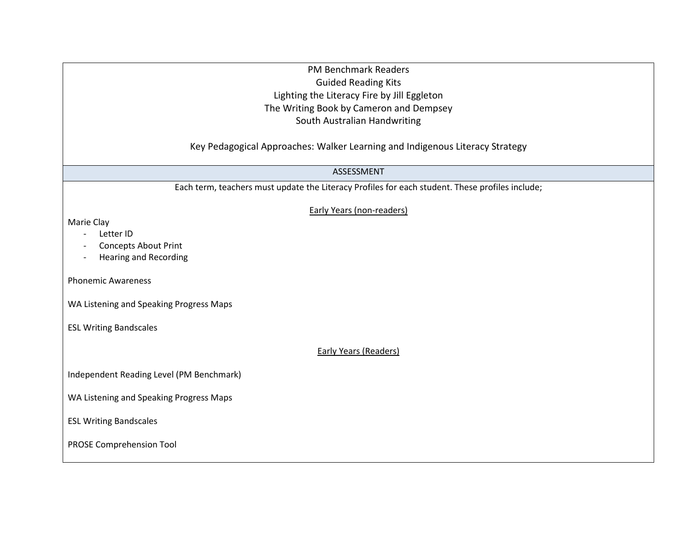### PM Benchmark Readers Guided Reading Kits Lighting the Literacy Fire by Jill Eggleton The Writing Book by Cameron and Dempsey South Australian Handwriting

Key Pedagogical Approaches: Walker Learning and Indigenous Literacy Strategy

ASSESSMENT

Each term, teachers must update the Literacy Profiles for each student. These profiles include;

Early Years (non-readers)

Marie Clay

- Letter ID
- Concepts About Print
- Hearing and Recording

Phonemic Awareness

WA Listening and Speaking Progress Maps

ESL Writing Bandscales

Early Years (Readers)

Independent Reading Level (PM Benchmark)

WA Listening and Speaking Progress Maps

ESL Writing Bandscales

PROSE Comprehension Tool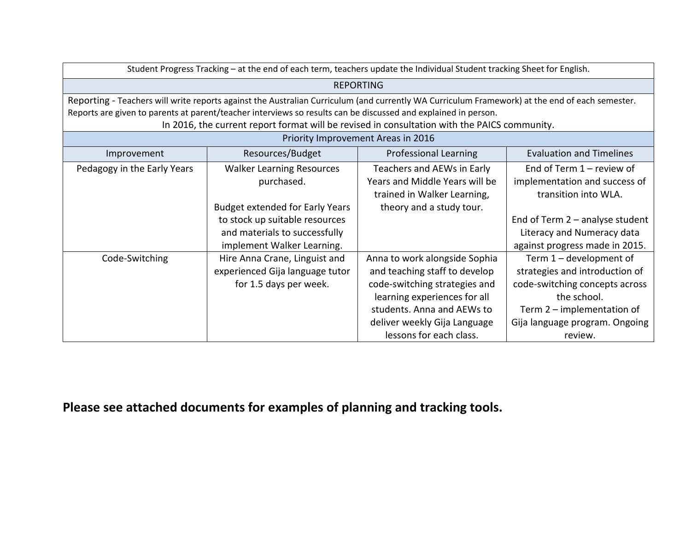| Student Progress Tracking - at the end of each term, teachers update the Individual Student tracking Sheet for English.                        |                                        |                                |                                   |  |  |
|------------------------------------------------------------------------------------------------------------------------------------------------|----------------------------------------|--------------------------------|-----------------------------------|--|--|
| <b>REPORTING</b>                                                                                                                               |                                        |                                |                                   |  |  |
| Reporting - Teachers will write reports against the Australian Curriculum (and currently WA Curriculum Framework) at the end of each semester. |                                        |                                |                                   |  |  |
| Reports are given to parents at parent/teacher interviews so results can be discussed and explained in person.                                 |                                        |                                |                                   |  |  |
| In 2016, the current report format will be revised in consultation with the PAICS community.                                                   |                                        |                                |                                   |  |  |
| Priority Improvement Areas in 2016                                                                                                             |                                        |                                |                                   |  |  |
| Improvement                                                                                                                                    | Resources/Budget                       | <b>Professional Learning</b>   | <b>Evaluation and Timelines</b>   |  |  |
| Pedagogy in the Early Years                                                                                                                    | <b>Walker Learning Resources</b>       | Teachers and AEWs in Early     | End of Term $1$ – review of       |  |  |
|                                                                                                                                                | purchased.                             | Years and Middle Years will be | implementation and success of     |  |  |
|                                                                                                                                                |                                        | trained in Walker Learning,    | transition into WLA.              |  |  |
|                                                                                                                                                | <b>Budget extended for Early Years</b> | theory and a study tour.       |                                   |  |  |
|                                                                                                                                                | to stock up suitable resources         |                                | End of Term $2$ – analyse student |  |  |
|                                                                                                                                                | and materials to successfully          |                                | Literacy and Numeracy data        |  |  |
|                                                                                                                                                | implement Walker Learning.             |                                | against progress made in 2015.    |  |  |
| Code-Switching                                                                                                                                 | Hire Anna Crane, Linguist and          | Anna to work alongside Sophia  | Term $1$ – development of         |  |  |
|                                                                                                                                                | experienced Gija language tutor        | and teaching staff to develop  | strategies and introduction of    |  |  |
|                                                                                                                                                | for 1.5 days per week.                 | code-switching strategies and  | code-switching concepts across    |  |  |
|                                                                                                                                                |                                        | learning experiences for all   | the school.                       |  |  |
|                                                                                                                                                |                                        | students. Anna and AEWs to     | Term $2$ – implementation of      |  |  |
|                                                                                                                                                |                                        | deliver weekly Gija Language   | Gija language program. Ongoing    |  |  |
|                                                                                                                                                |                                        | lessons for each class.        | review.                           |  |  |

**Please see attached documents for examples of planning and tracking tools.**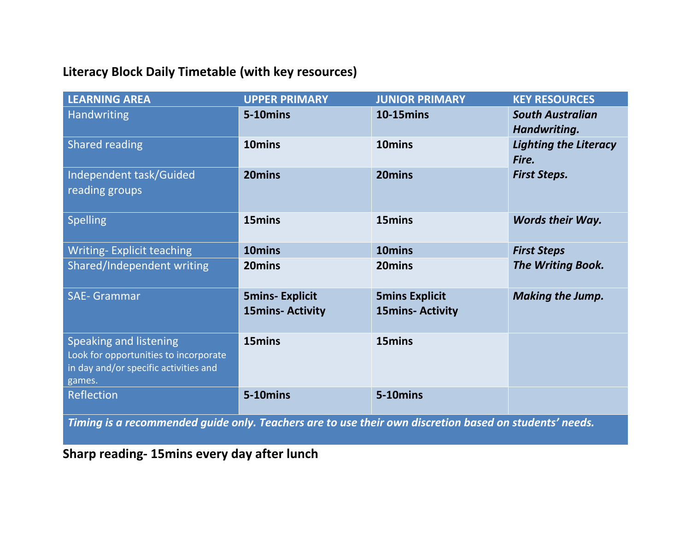## **Literacy Block Daily Timetable (with key resources)**

| <b>LEARNING AREA</b>                                                                                                      | <b>UPPER PRIMARY</b>                            | <b>JUNIOR PRIMARY</b>                            | <b>KEY RESOURCES</b>                    |
|---------------------------------------------------------------------------------------------------------------------------|-------------------------------------------------|--------------------------------------------------|-----------------------------------------|
| Handwriting                                                                                                               | 5-10mins                                        | <b>10-15mins</b>                                 | <b>South Australian</b><br>Handwriting. |
| <b>Shared reading</b>                                                                                                     | 10mins                                          | 10 <sub>mins</sub>                               | <b>Lighting the Literacy</b><br>Fire.   |
| Independent task/Guided<br>reading groups                                                                                 | 20mins                                          | 20mins                                           | <b>First Steps.</b>                     |
| <b>Spelling</b>                                                                                                           | 15mins                                          | 15mins                                           | <b>Words their Way.</b>                 |
| <b>Writing-Explicit teaching</b>                                                                                          | 10mins                                          | 10mins                                           | <b>First Steps</b>                      |
| Shared/Independent writing                                                                                                | 20mins                                          | 20mins                                           | The Writing Book.                       |
| <b>SAE- Grammar</b>                                                                                                       | <b>5mins-Explicit</b><br><b>15mins-Activity</b> | <b>5mins Explicit</b><br><b>15mins- Activity</b> | <b>Making the Jump.</b>                 |
| <b>Speaking and listening</b><br>Look for opportunities to incorporate<br>in day and/or specific activities and<br>games. | 15mins                                          | 15mins                                           |                                         |
| Reflection                                                                                                                | 5-10mins                                        | 5-10mins                                         |                                         |

*Timing is a recommended guide only. Teachers are to use their own discretion based on students' needs.*

**Sharp reading- 15mins every day after lunch**